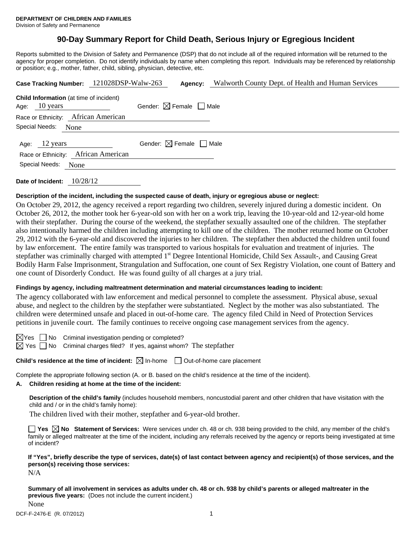# **90-Day Summary Report for Child Death, Serious Injury or Egregious Incident**

Reports submitted to the Division of Safety and Permanence (DSP) that do not include all of the required information will be returned to the agency for proper completion. Do not identify individuals by name when completing this report. Individuals may be referenced by relationship or position; e.g., mother, father, child, sibling, physician, detective, etc.

| Case Tracking Number: 121028DSP-Walw-263                                  | Agency:                                | Walworth County Dept. of Health and Human Services |
|---------------------------------------------------------------------------|----------------------------------------|----------------------------------------------------|
| <b>Child Information</b> (at time of incident)<br>Age: $10 \text{ years}$ | Gender: $\boxtimes$ Female $\Box$ Male |                                                    |
| Race or Ethnicity: African American                                       |                                        |                                                    |
| Special Needs:<br>None                                                    |                                        |                                                    |
| Age: 12 years<br>Race or Ethnicity: African American                      | Gender: $\boxtimes$ Female $\Box$ Male |                                                    |
| Special Needs:<br>None                                                    |                                        |                                                    |
|                                                                           |                                        |                                                    |

**Date of Incident:** 10/28/12

## **Description of the incident, including the suspected cause of death, injury or egregious abuse or neglect:**

On October 29, 2012, the agency received a report regarding two children, severely injured during a domestic incident. On October 26, 2012, the mother took her 6-year-old son with her on a work trip, leaving the 10-year-old and 12-year-old home with their stepfather. During the course of the weekend, the stepfather sexually assaulted one of the children. The stepfather also intentionally harmed the children including attempting to kill one of the children. The mother returned home on October 29, 2012 with the 6-year-old and discovered the injuries to her children. The stepfather then abducted the children until found by law enforcement. The entire family was transported to various hospitals for evaluation and treatment of injuries. The stepfather was criminally charged with attempted 1<sup>st</sup> Degree Intentional Homicide, Child Sex Assault-, and Causing Great Bodily Harm False Imprisonment, Strangulation and Suffocation, one count of Sex Registry Violation, one count of Battery and one count of Disorderly Conduct. He was found guilty of all charges at a jury trial.

## **Findings by agency, including maltreatment determination and material circumstances leading to incident:**

The agency collaborated with law enforcement and medical personnel to complete the assessment. Physical abuse, sexual abuse, and neglect to the children by the stepfather were substantiated. Neglect by the mother was also substantiated. The children were determined unsafe and placed in out-of-home care. The agency filed Child in Need of Protection Services petitions in juvenile court. The family continues to receive ongoing case management services from the agency.

| ×.<br>Y<br>es |  |
|---------------|--|
|               |  |

No Criminal investigation pending or completed?

Yes  $\Box$  No Criminal charges filed? If yes, against whom? The stepfather

**Child's residence at the time of incident:**  $\boxtimes$  In-home  $\Box$  Out-of-home care placement

Complete the appropriate following section (A. or B. based on the child's residence at the time of the incident).

## **A. Children residing at home at the time of the incident:**

**Description of the child's family** (includes household members, noncustodial parent and other children that have visitation with the child and / or in the child's family home):

The children lived with their mother, stepfather and 6-year-old brother.

■ Yes ⊠ No Statement of Services: Were services under ch. 48 or ch. 938 being provided to the child, any member of the child's family or alleged maltreater at the time of the incident, including any referrals received by the agency or reports being investigated at time of incident?

**If "Yes", briefly describe the type of services, date(s) of last contact between agency and recipient(s) of those services, and the person(s) receiving those services:** 

N/A

**Summary of all involvement in services as adults under ch. 48 or ch. 938 by child's parents or alleged maltreater in the previous five years:** (Does not include the current incident.)

None